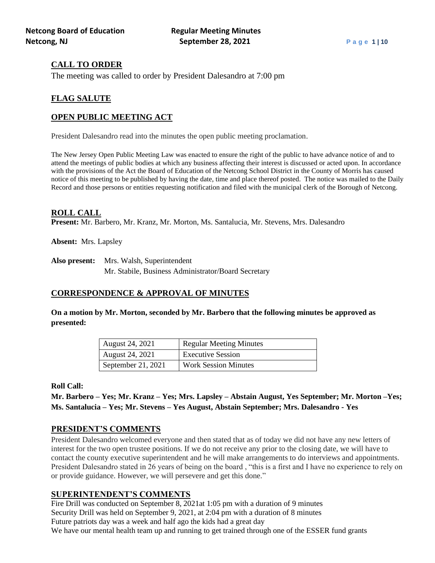# **CALL TO ORDER**

The meeting was called to order by President Dalesandro at 7:00 pm

# **FLAG SALUTE**

# **OPEN PUBLIC MEETING ACT**

President Dalesandro read into the minutes the open public meeting proclamation.

The New Jersey Open Public Meeting Law was enacted to ensure the right of the public to have advance notice of and to attend the meetings of public bodies at which any business affecting their interest is discussed or acted upon. In accordance with the provisions of the Act the Board of Education of the Netcong School District in the County of Morris has caused notice of this meeting to be published by having the date, time and place thereof posted. The notice was mailed to the Daily Record and those persons or entities requesting notification and filed with the municipal clerk of the Borough of Netcong.

### **ROLL CALL**

**Present:** Mr. Barbero, Mr. Kranz, Mr. Morton, Ms. Santalucia, Mr. Stevens, Mrs. Dalesandro

**Absent:** Mrs. Lapsley

**Also present:** Mrs. Walsh, Superintendent Mr. Stabile, Business Administrator/Board Secretary

# **CORRESPONDENCE & APPROVAL OF MINUTES**

**On a motion by Mr. Morton, seconded by Mr. Barbero that the following minutes be approved as presented:**

| August 24, 2021    | <b>Regular Meeting Minutes</b> |
|--------------------|--------------------------------|
| August 24, 2021    | <b>Executive Session</b>       |
| September 21, 2021 | <b>Work Session Minutes</b>    |

### **Roll Call:**

**Mr. Barbero – Yes; Mr. Kranz – Yes; Mrs. Lapsley – Abstain August, Yes September; Mr. Morton –Yes; Ms. Santalucia – Yes; Mr. Stevens – Yes August, Abstain September; Mrs. Dalesandro - Yes**

# **PRESIDENT'S COMMENTS**

President Dalesandro welcomed everyone and then stated that as of today we did not have any new letters of interest for the two open trustee positions. If we do not receive any prior to the closing date, we will have to contact the county executive superintendent and he will make arrangements to do interviews and appointments. President Dalesandro stated in 26 years of being on the board , "this is a first and I have no experience to rely on or provide guidance. However, we will persevere and get this done."

# **SUPERINTENDENT'S COMMENTS**

Fire Drill was conducted on September 8, 2021at 1:05 pm with a duration of 9 minutes Security Drill was held on September 9, 2021, at 2:04 pm with a duration of 8 minutes Future patriots day was a week and half ago the kids had a great day We have our mental health team up and running to get trained through one of the ESSER fund grants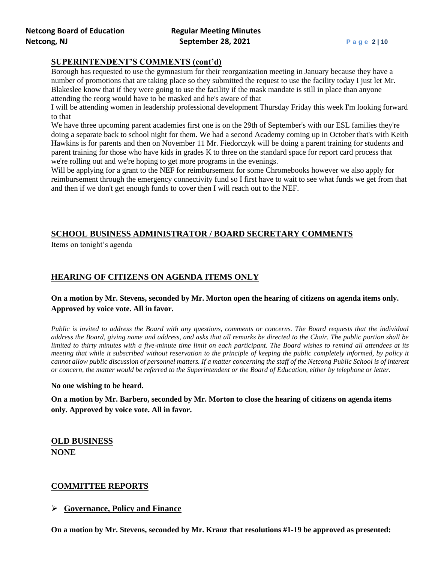# **SUPERINTENDENT'S COMMENTS (cont'd)**

Borough has requested to use the gymnasium for their reorganization meeting in January because they have a number of promotions that are taking place so they submitted the request to use the facility today I just let Mr. Blakeslee know that if they were going to use the facility if the mask mandate is still in place than anyone attending the reorg would have to be masked and he's aware of that

I will be attending women in leadership professional development Thursday Friday this week I'm looking forward to that

We have three upcoming parent academies first one is on the 29th of September's with our ESL families they're doing a separate back to school night for them. We had a second Academy coming up in October that's with Keith Hawkins is for parents and then on November 11 Mr. Fiedorczyk will be doing a parent training for students and parent training for those who have kids in grades K to three on the standard space for report card process that we're rolling out and we're hoping to get more programs in the evenings.

Will be applying for a grant to the NEF for reimbursement for some Chromebooks however we also apply for reimbursement through the emergency connectivity fund so I first have to wait to see what funds we get from that and then if we don't get enough funds to cover then I will reach out to the NEF.

# **SCHOOL BUSINESS ADMINISTRATOR / BOARD SECRETARY COMMENTS**

Items on tonight's agenda

# **HEARING OF CITIZENS ON AGENDA ITEMS ONLY**

# **On a motion by Mr. Stevens, seconded by Mr. Morton open the hearing of citizens on agenda items only. Approved by voice vote. All in favor.**

*Public is invited to address the Board with any questions, comments or concerns. The Board requests that the individual address the Board, giving name and address, and asks that all remarks be directed to the Chair. The public portion shall be limited to thirty minutes with a five-minute time limit on each participant. The Board wishes to remind all attendees at its meeting that while it subscribed without reservation to the principle of keeping the public completely informed, by policy it cannot allow public discussion of personnel matters. If a matter concerning the staff of the Netcong Public School is of interest or concern, the matter would be referred to the Superintendent or the Board of Education, either by telephone or letter.*

### **No one wishing to be heard.**

**On a motion by Mr. Barbero, seconded by Mr. Morton to close the hearing of citizens on agenda items only. Approved by voice vote. All in favor.**

**OLD BUSINESS NONE**

# **COMMITTEE REPORTS**

# ➢ **Governance, Policy and Finance**

**On a motion by Mr. Stevens, seconded by Mr. Kranz that resolutions #1-19 be approved as presented:**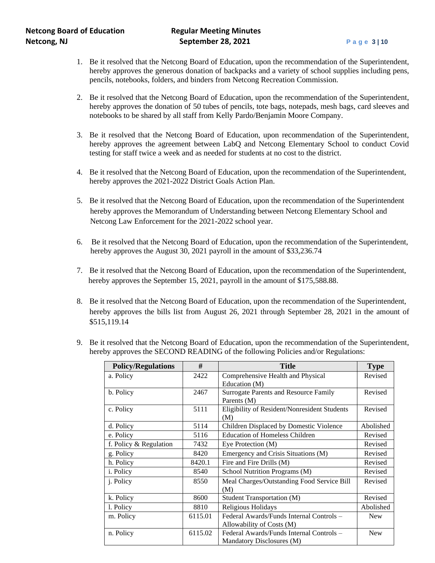- 1. Be it resolved that the Netcong Board of Education, upon the recommendation of the Superintendent, hereby approves the generous donation of backpacks and a variety of school supplies including pens, pencils, notebooks, folders, and binders from Netcong Recreation Commission.
- 2. Be it resolved that the Netcong Board of Education, upon the recommendation of the Superintendent, hereby approves the donation of 50 tubes of pencils, tote bags, notepads, mesh bags, card sleeves and notebooks to be shared by all staff from Kelly Pardo/Benjamin Moore Company.
- 3. Be it resolved that the Netcong Board of Education, upon recommendation of the Superintendent, hereby approves the agreement between LabQ and Netcong Elementary School to conduct Covid testing for staff twice a week and as needed for students at no cost to the district.
- 4. Be it resolved that the Netcong Board of Education, upon the recommendation of the Superintendent, hereby approves the 2021-2022 District Goals Action Plan.
- 5. Be it resolved that the Netcong Board of Education, upon the recommendation of the Superintendent hereby approves the Memorandum of Understanding between Netcong Elementary School and Netcong Law Enforcement for the 2021-2022 school year.
- 6. Be it resolved that the Netcong Board of Education, upon the recommendation of the Superintendent, hereby approves the August 30, 2021 payroll in the amount of \$33,236.74
- 7. Be it resolved that the Netcong Board of Education, upon the recommendation of the Superintendent, hereby approves the September 15, 2021, payroll in the amount of \$175,588.88.
- 8. Be it resolved that the Netcong Board of Education, upon the recommendation of the Superintendent, hereby approves the bills list from August 26, 2021 through September 28, 2021 in the amount of \$515,119.14

| #<br><b>Policy/Regulations</b> |         | <b>Title</b>                                                          | <b>Type</b> |
|--------------------------------|---------|-----------------------------------------------------------------------|-------------|
| a. Policy                      | 2422    | Comprehensive Health and Physical<br>Education (M)                    | Revised     |
| b. Policy                      | 2467    | Surrogate Parents and Resource Family<br>Parents (M)                  | Revised     |
| c. Policy                      | 5111    | Eligibility of Resident/Nonresident Students<br>(M)                   | Revised     |
| d. Policy                      | 5114    | Children Displaced by Domestic Violence                               | Abolished   |
| e. Policy                      | 5116    | <b>Education of Homeless Children</b>                                 | Revised     |
| f. Policy & Regulation         | 7432    | Eye Protection (M)                                                    | Revised     |
| g. Policy                      | 8420    | Emergency and Crisis Situations (M)                                   | Revised     |
| h. Policy                      | 8420.1  | Fire and Fire Drills (M)                                              | Revised     |
| <i>i</i> . Policy              | 8540    | School Nutrition Programs (M)                                         | Revised     |
| j. Policy                      | 8550    | Meal Charges/Outstanding Food Service Bill<br>(M)                     | Revised     |
| k. Policy                      | 8600    | <b>Student Transportation (M)</b>                                     | Revised     |
| l. Policy                      | 8810    | Religious Holidays                                                    | Abolished   |
| m. Policy                      | 6115.01 | Federal Awards/Funds Internal Controls -<br>Allowability of Costs (M) | <b>New</b>  |
| n. Policy                      | 6115.02 | Federal Awards/Funds Internal Controls -<br>Mandatory Disclosures (M) | <b>New</b>  |

9. Be it resolved that the Netcong Board of Education, upon the recommendation of the Superintendent, hereby approves the SECOND READING of the following Policies and/or Regulations: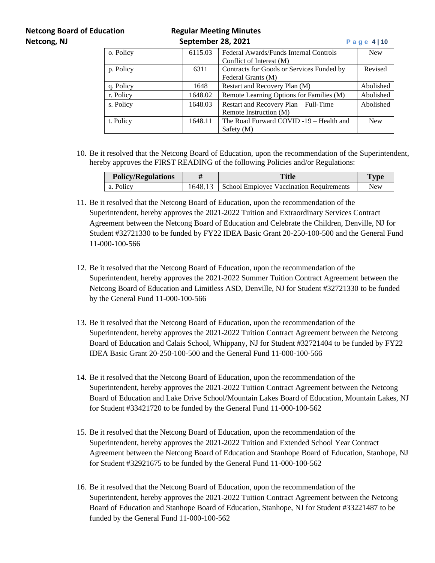# **Netcong Board of Education Regular Meeting Minutes**

| Netcong, NJ |           | September 28, 2021 |                                           | Page $4 10$ |
|-------------|-----------|--------------------|-------------------------------------------|-------------|
|             | o. Policy | 6115.03            | Federal Awards/Funds Internal Controls –  | <b>New</b>  |
|             |           |                    | Conflict of Interest (M)                  |             |
|             | p. Policy | 6311               | Contracts for Goods or Services Funded by | Revised     |
|             |           |                    | Federal Grants (M)                        |             |
|             | q. Policy | 1648               | Restart and Recovery Plan (M)             | Abolished   |
|             | r. Policy | 1648.02            | Remote Learning Options for Families (M)  | Abolished   |
|             | s. Policy | 1648.03            | Restart and Recovery Plan – Full-Time     | Abolished   |
|             |           |                    | Remote Instruction (M)                    |             |
|             | t. Policy | 1648.11            | The Road Forward COVID -19 - Health and   | <b>New</b>  |
|             |           |                    | Safety $(M)$                              |             |

10. Be it resolved that the Netcong Board of Education, upon the recommendation of the Superintendent, hereby approves the FIRST READING of the following Policies and/or Regulations:

| <b>Policy/Regulations</b> | Title                                            | <b>Type</b> |
|---------------------------|--------------------------------------------------|-------------|
| a. Policy                 | 1648.13 School Employee Vaccination Requirements | New         |

- 11. Be it resolved that the Netcong Board of Education, upon the recommendation of the Superintendent, hereby approves the 2021-2022 Tuition and Extraordinary Services Contract Agreement between the Netcong Board of Education and Celebrate the Children, Denville, NJ for Student #32721330 to be funded by FY22 IDEA Basic Grant 20-250-100-500 and the General Fund 11-000-100-566
- 12. Be it resolved that the Netcong Board of Education, upon the recommendation of the Superintendent, hereby approves the 2021-2022 Summer Tuition Contract Agreement between the Netcong Board of Education and Limitless ASD, Denville, NJ for Student #32721330 to be funded by the General Fund 11-000-100-566
- 13. Be it resolved that the Netcong Board of Education, upon the recommendation of the Superintendent, hereby approves the 2021-2022 Tuition Contract Agreement between the Netcong Board of Education and Calais School, Whippany, NJ for Student #32721404 to be funded by FY22 IDEA Basic Grant 20-250-100-500 and the General Fund 11-000-100-566
- 14. Be it resolved that the Netcong Board of Education, upon the recommendation of the Superintendent, hereby approves the 2021-2022 Tuition Contract Agreement between the Netcong Board of Education and Lake Drive School/Mountain Lakes Board of Education, Mountain Lakes, NJ for Student #33421720 to be funded by the General Fund 11-000-100-562
- 15. Be it resolved that the Netcong Board of Education, upon the recommendation of the Superintendent, hereby approves the 2021-2022 Tuition and Extended School Year Contract Agreement between the Netcong Board of Education and Stanhope Board of Education, Stanhope, NJ for Student #32921675 to be funded by the General Fund 11-000-100-562
- 16. Be it resolved that the Netcong Board of Education, upon the recommendation of the Superintendent, hereby approves the 2021-2022 Tuition Contract Agreement between the Netcong Board of Education and Stanhope Board of Education, Stanhope, NJ for Student #33221487 to be funded by the General Fund 11-000-100-562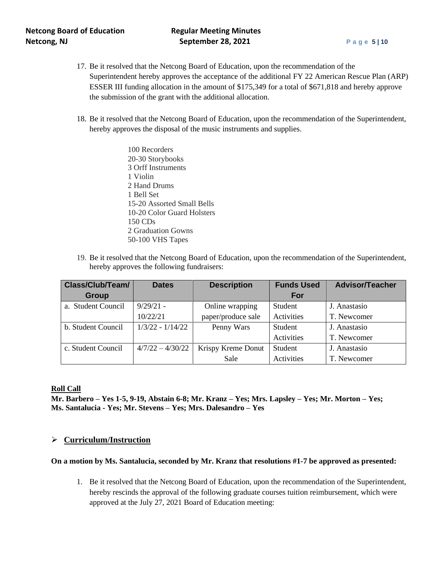- 17. Be it resolved that the Netcong Board of Education, upon the recommendation of the Superintendent hereby approves the acceptance of the additional FY 22 American Rescue Plan (ARP) ESSER III funding allocation in the amount of \$175,349 for a total of \$671,818 and hereby approve the submission of the grant with the additional allocation.
- 18. Be it resolved that the Netcong Board of Education, upon the recommendation of the Superintendent, hereby approves the disposal of the music instruments and supplies.
	- 100 Recorders 20-30 Storybooks 3 Orff Instruments 1 Violin 2 Hand Drums 1 Bell Set 15-20 Assorted Small Bells 10-20 Color Guard Holsters 150 CDs 2 Graduation Gowns 50-100 VHS Tapes
- 19. Be it resolved that the Netcong Board of Education, upon the recommendation of the Superintendent, hereby approves the following fundraisers:

| Class/Club/Team/   | <b>Dates</b>       | <b>Description</b> | <b>Funds Used</b> | <b>Advisor/Teacher</b> |
|--------------------|--------------------|--------------------|-------------------|------------------------|
| <b>Group</b>       |                    |                    | For               |                        |
| a. Student Council | $9/29/21 -$        | Online wrapping    | Student           | J. Anastasio           |
|                    | 10/22/21           | paper/produce sale | Activities        | T. Newcomer            |
| b. Student Council | $1/3/22 - 1/14/22$ | Penny Wars         | Student           | J. Anastasio           |
|                    |                    |                    | Activities        | T. Newcomer            |
| c. Student Council | $4/7/22 - 4/30/22$ | Krispy Kreme Donut | Student           | J. Anastasio           |
|                    |                    | Sale               | Activities        | T. Newcomer            |

### **Roll Call**

**Mr. Barbero – Yes 1-5, 9-19, Abstain 6-8; Mr. Kranz – Yes; Mrs. Lapsley – Yes; Mr. Morton – Yes; Ms. Santalucia - Yes; Mr. Stevens – Yes; Mrs. Dalesandro – Yes**

# ➢ **Curriculum/Instruction**

### **On a motion by Ms. Santalucia, seconded by Mr. Kranz that resolutions #1-7 be approved as presented:**

1. Be it resolved that the Netcong Board of Education, upon the recommendation of the Superintendent, hereby rescinds the approval of the following graduate courses tuition reimbursement, which were approved at the July 27, 2021 Board of Education meeting: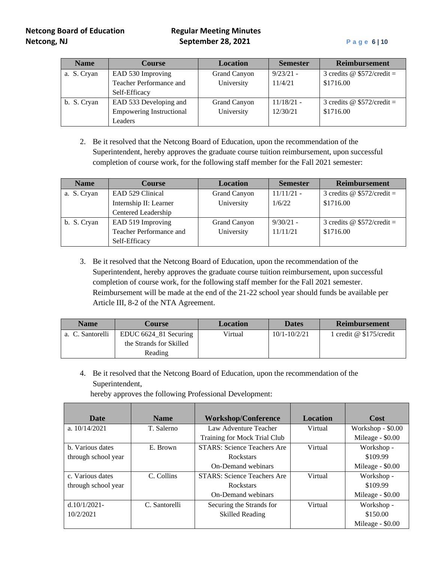| <b>Name</b> | <b>Course</b>                   | <b>Location</b> | <b>Semester</b> | <b>Reimbursement</b>              |
|-------------|---------------------------------|-----------------|-----------------|-----------------------------------|
| a. S. Cryan | EAD 530 Improving               | Grand Canyon    | $9/23/21 -$     | 3 credits $\omega$ \$572/credit = |
|             | Teacher Performance and         | University      | 11/4/21         | \$1716.00                         |
|             | Self-Efficacy                   |                 |                 |                                   |
| b. S. Cryan | EAD 533 Developing and          | Grand Canyon    | $11/18/21$ -    | 3 credits $\omega$ \$572/credit = |
|             | <b>Empowering Instructional</b> | University      | 12/30/21        | \$1716.00                         |
|             | Leaders                         |                 |                 |                                   |

2. Be it resolved that the Netcong Board of Education, upon the recommendation of the Superintendent, hereby approves the graduate course tuition reimbursement, upon successful completion of course work, for the following staff member for the Fall 2021 semester:

| <b>Name</b> | <b>Course</b>           | <b>Location</b>     | <b>Semester</b> | <b>Reimbursement</b>        |
|-------------|-------------------------|---------------------|-----------------|-----------------------------|
| a. S. Cryan | EAD 529 Clinical        | <b>Grand Canyon</b> | $11/11/21$ -    | 3 credits @ $$572/credit =$ |
|             | Internship II: Learner  | University          | 1/6/22          | \$1716.00                   |
|             | Centered Leadership     |                     |                 |                             |
| b. S. Cryan | EAD 519 Improving       | Grand Canyon        | $9/30/21 -$     | 3 credits @ $$572/credit =$ |
|             | Teacher Performance and | University          | 11/11/21        | \$1716.00                   |
|             | Self-Efficacy           |                     |                 |                             |

3. Be it resolved that the Netcong Board of Education, upon the recommendation of the Superintendent, hereby approves the graduate course tuition reimbursement, upon successful completion of course work, for the following staff member for the Fall 2021 semester. Reimbursement will be made at the end of the 21-22 school year should funds be available per Article III, 8-2 of the NTA Agreement.

| <b>Name</b>      | Course                   | <b>Location</b> | <b>Dates</b>     | <b>Reimbursement</b>      |
|------------------|--------------------------|-----------------|------------------|---------------------------|
| a. C. Santorelli | EDUC $6624\_81$ Securing | Virtual         | $10/1 - 10/2/21$ | 1 credit $@$ \$175/credit |
|                  | the Strands for Skilled  |                 |                  |                           |
|                  | Reading                  |                 |                  |                           |

4. Be it resolved that the Netcong Board of Education, upon the recommendation of the Superintendent,

hereby approves the following Professional Development:

| <b>Date</b>         | <b>Name</b>   | <b>Workshop/Conference</b>         | <b>Location</b> | Cost              |
|---------------------|---------------|------------------------------------|-----------------|-------------------|
| a. $10/14/2021$     | T. Salerno    | Law Adventure Teacher              | Virtual         | Workshop - \$0.00 |
|                     |               | Training for Mock Trial Club       |                 | Mileage - \$0.00  |
| b. Various dates    | E. Brown      | <b>STARS: Science Teachers Are</b> | Virtual         | Workshop -        |
| through school year |               | <b>Rockstars</b>                   |                 | \$109.99          |
|                     |               | <b>On-Demand webinars</b>          |                 | Mileage - \$0.00  |
| c. Various dates    | C. Collins    | <b>STARS: Science Teachers Are</b> | Virtual         | Workshop -        |
| through school year |               | Rockstars                          |                 | \$109.99          |
|                     |               | On-Demand webinars                 |                 | Mileage - \$0.00  |
| $d.10/1/2021$ -     | C. Santorelli | Securing the Strands for           | Virtual         | Workshop -        |
| 10/2/2021           |               | <b>Skilled Reading</b>             |                 | \$150.00          |
|                     |               |                                    |                 | Mileage - \$0.00  |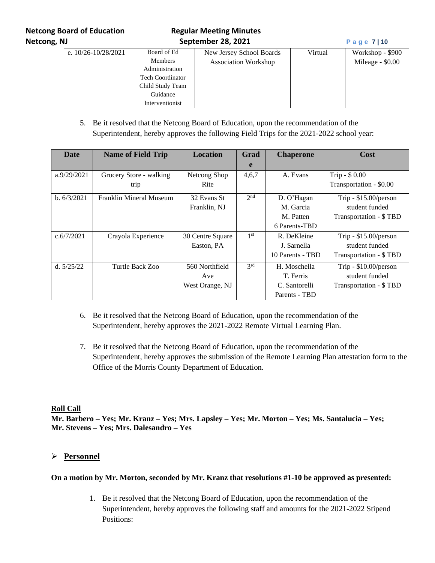# **Netcong Board of Education Regular Meeting Minutes Netcong, NJ September 28, 2021 P a g e 7 | 10**

| e. $10/26 - 10/28/2021$ | Board of Ed<br><b>Members</b><br>Administration<br><b>Tech Coordinator</b><br>Child Study Team<br>Guidance | New Jersey School Boards<br><b>Association Workshop</b> | Virtual | Workshop - \$900<br>Mileage - \$0.00 |
|-------------------------|------------------------------------------------------------------------------------------------------------|---------------------------------------------------------|---------|--------------------------------------|
|                         | Interventionist                                                                                            |                                                         |         |                                      |

5. Be it resolved that the Netcong Board of Education, upon the recommendation of the Superintendent, hereby approves the following Field Trips for the 2021-2022 school year:

| <b>Date</b>  | <b>Name of Field Trip</b> | <b>Location</b>  | Grad            | <b>Chaperone</b> | Cost                    |
|--------------|---------------------------|------------------|-----------------|------------------|-------------------------|
|              |                           |                  | e               |                  |                         |
| a.9/29/2021  | Grocery Store - walking   | Netcong Shop     | 4,6,7           | A. Evans         | Trip - \$0.00           |
|              | trip                      | Rite             |                 |                  | Transportation - \$0.00 |
| b. 6/3/2021  | Franklin Mineral Museum   | 32 Evans St      | 2 <sub>nd</sub> | D. O'Hagan       | Trip - $$15.00/person$  |
|              |                           | Franklin, NJ     |                 | M. Garcia        | student funded          |
|              |                           |                  |                 | M. Patten        | Transportation - \$TBD  |
|              |                           |                  |                 | 6 Parents-TBD    |                         |
| c.6/7/2021   | Crayola Experience        | 30 Centre Square | 1 <sup>st</sup> | R. DeKleine      | Trip - $$15.00/person$  |
|              |                           | Easton, PA       |                 | J. Sarnella      | student funded          |
|              |                           |                  |                 | 10 Parents - TBD | Transportation - \$TBD  |
| d. $5/25/22$ | Turtle Back Zoo           | 560 Northfield   | 3 <sup>rd</sup> | H. Moschella     | Trip - $$10.00/person$  |
|              |                           | Ave              |                 | T. Ferris        | student funded          |
|              |                           | West Orange, NJ  |                 | C. Santorelli    | Transportation - \$TBD  |
|              |                           |                  |                 | Parents - TBD    |                         |

- 6. Be it resolved that the Netcong Board of Education, upon the recommendation of the Superintendent, hereby approves the 2021-2022 Remote Virtual Learning Plan.
- 7. Be it resolved that the Netcong Board of Education, upon the recommendation of the Superintendent, hereby approves the submission of the Remote Learning Plan attestation form to the Office of the Morris County Department of Education.

# **Roll Call**

**Mr. Barbero – Yes; Mr. Kranz – Yes; Mrs. Lapsley – Yes; Mr. Morton – Yes; Ms. Santalucia – Yes; Mr. Stevens – Yes; Mrs. Dalesandro – Yes**

# ➢ **Personnel**

### **On a motion by Mr. Morton, seconded by Mr. Kranz that resolutions #1-10 be approved as presented:**

1. Be it resolved that the Netcong Board of Education, upon the recommendation of the Superintendent, hereby approves the following staff and amounts for the 2021-2022 Stipend Positions: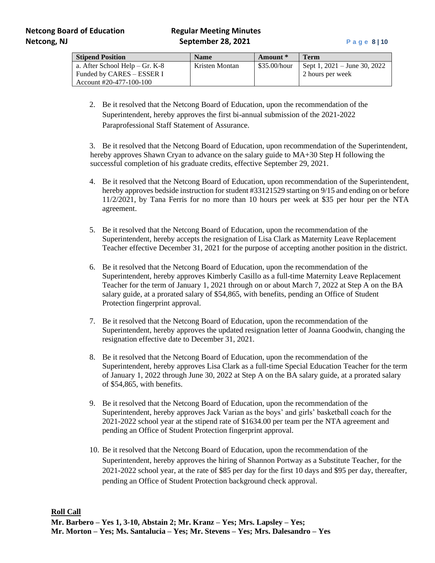| <b>Stipend Position</b>        | <b>Name</b>    | Amount *     | <b>Term</b>                  |
|--------------------------------|----------------|--------------|------------------------------|
| a. After School Help – Gr. K-8 | Kristen Montan | \$35.00/hour | Sept 1, 2021 – June 30, 2022 |
| Funded by CARES – ESSER I      |                |              | 2 hours per week             |
| Account #20-477-100-100        |                |              |                              |

2. Be it resolved that the Netcong Board of Education, upon the recommendation of the Superintendent, hereby approves the first bi-annual submission of the 2021-2022 Paraprofessional Staff Statement of Assurance.

3. Be it resolved that the Netcong Board of Education, upon recommendation of the Superintendent, hereby approves Shawn Cryan to advance on the salary guide to  $MA+30$  Step H following the successful completion of his graduate credits, effective September 29, 2021.

- 4. Be it resolved that the Netcong Board of Education, upon recommendation of the Superintendent, hereby approves bedside instruction for student #33121529 starting on 9/15 and ending on or before 11/2/2021, by Tana Ferris for no more than 10 hours per week at \$35 per hour per the NTA agreement.
- 5. Be it resolved that the Netcong Board of Education, upon the recommendation of the Superintendent, hereby accepts the resignation of Lisa Clark as Maternity Leave Replacement Teacher effective December 31, 2021 for the purpose of accepting another position in the district.
- 6. Be it resolved that the Netcong Board of Education, upon the recommendation of the Superintendent, hereby approves Kimberly Casillo as a full-time Maternity Leave Replacement Teacher for the term of January 1, 2021 through on or about March 7, 2022 at Step A on the BA salary guide, at a prorated salary of \$54,865, with benefits, pending an Office of Student Protection fingerprint approval.
- 7. Be it resolved that the Netcong Board of Education, upon the recommendation of the Superintendent, hereby approves the updated resignation letter of Joanna Goodwin, changing the resignation effective date to December 31, 2021.
- 8. Be it resolved that the Netcong Board of Education, upon the recommendation of the Superintendent, hereby approves Lisa Clark as a full-time Special Education Teacher for the term of January 1, 2022 through June 30, 2022 at Step A on the BA salary guide, at a prorated salary of \$54,865, with benefits.
- 9. Be it resolved that the Netcong Board of Education, upon the recommendation of the Superintendent, hereby approves Jack Varian as the boys' and girls' basketball coach for the 2021-2022 school year at the stipend rate of \$1634.00 per team per the NTA agreement and pending an Office of Student Protection fingerprint approval.
- 10. Be it resolved that the Netcong Board of Education, upon the recommendation of the Superintendent, hereby approves the hiring of Shannon Portway as a Substitute Teacher, for the 2021-2022 school year, at the rate of \$85 per day for the first 10 days and \$95 per day, thereafter, pending an Office of Student Protection background check approval.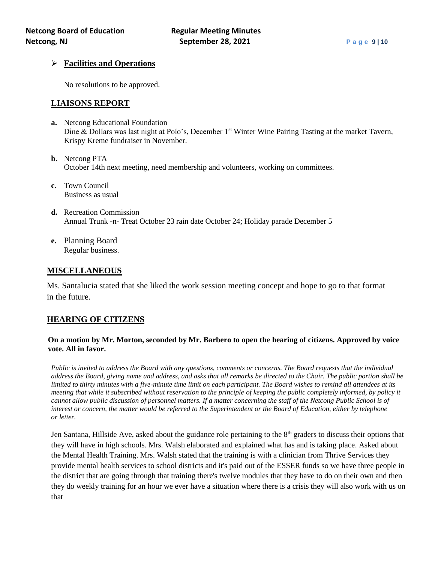# ➢ **Facilities and Operations**

No resolutions to be approved.

# **LIAISONS REPORT**

- **a.** Netcong Educational Foundation Dine & Dollars was last night at Polo's, December 1<sup>st</sup> Winter Wine Pairing Tasting at the market Tavern, Krispy Kreme fundraiser in November.
- **b.** Netcong PTA October 14th next meeting, need membership and volunteers, working on committees.
- **c.** Town Council Business as usual
- **d.** Recreation Commission Annual Trunk -n- Treat October 23 rain date October 24; Holiday parade December 5
- **e.** Planning Board Regular business.

# **MISCELLANEOUS**

 Ms. Santalucia stated that she liked the work session meeting concept and hope to go to that format in the future.

# **HEARING OF CITIZENS**

### **On a motion by Mr. Morton, seconded by Mr. Barbero to open the hearing of citizens. Approved by voice vote. All in favor.**

*Public is invited to address the Board with any questions, comments or concerns. The Board requests that the individual address the Board, giving name and address, and asks that all remarks be directed to the Chair. The public portion shall be limited to thirty minutes with a five-minute time limit on each participant. The Board wishes to remind all attendees at its meeting that while it subscribed without reservation to the principle of keeping the public completely informed, by policy it cannot allow public discussion of personnel matters. If a matter concerning the staff of the Netcong Public School is of interest or concern, the matter would be referred to the Superintendent or the Board of Education, either by telephone or letter.*

Jen Santana, Hillside Ave, asked about the guidance role pertaining to the 8<sup>th</sup> graders to discuss their options that they will have in high schools. Mrs. Walsh elaborated and explained what has and is taking place. Asked about the Mental Health Training. Mrs. Walsh stated that the training is with a clinician from Thrive Services they provide mental health services to school districts and it's paid out of the ESSER funds so we have three people in the district that are going through that training there's twelve modules that they have to do on their own and then they do weekly training for an hour we ever have a situation where there is a crisis they will also work with us on that